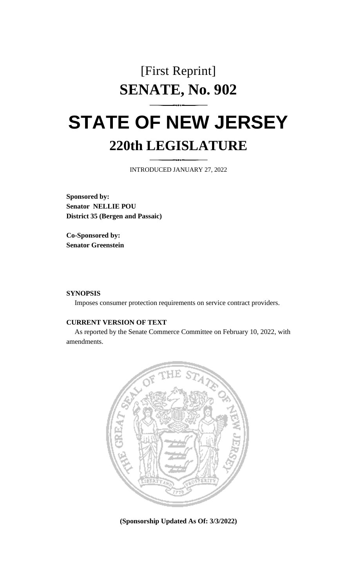## [First Reprint] **SENATE, No. 902**

# **STATE OF NEW JERSEY 220th LEGISLATURE**

INTRODUCED JANUARY 27, 2022

**Sponsored by: Senator NELLIE POU District 35 (Bergen and Passaic)**

**Co-Sponsored by: Senator Greenstein**

#### **SYNOPSIS**

Imposes consumer protection requirements on service contract providers.

### **CURRENT VERSION OF TEXT**

As reported by the Senate Commerce Committee on February 10, 2022, with amendments.



**(Sponsorship Updated As Of: 3/3/2022)**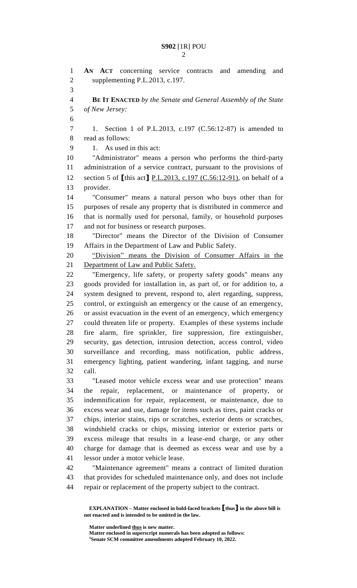**AN ACT** concerning service contracts and amending and supplementing P.L.2013, c.197. **BE IT ENACTED** *by the Senate and General Assembly of the State of New Jersey:* 1. Section 1 of P.L.2013, c.197 (C.56:12-87) is amended to read as follows: 1. As used in this act: "Administrator" means a person who performs the third-party administration of a service contract, pursuant to the provisions of section 5 of **[**this act**]** P.L.2013, c.197 (C.56:12-91), on behalf of a provider. "Consumer" means a natural person who buys other than for purposes of resale any property that is distributed in commerce and that is normally used for personal, family, or household purposes 17 and not for business or research purposes. "Director" means the Director of the Division of Consumer Affairs in the Department of Law and Public Safety. "Division" means the Division of Consumer Affairs in the Department of Law and Public Safety. "Emergency, life safety, or property safety goods" means any goods provided for installation in, as part of, or for addition to, a system designed to prevent, respond to, alert regarding, suppress, control, or extinguish an emergency or the cause of an emergency, or assist evacuation in the event of an emergency, which emergency could threaten life or property. Examples of these systems include fire alarm, fire sprinkler, fire suppression, fire extinguisher, security, gas detection, intrusion detection, access control, video surveillance and recording, mass notification, public address, emergency lighting, patient wandering, infant tagging, and nurse call. "Leased motor vehicle excess wear and use protection" means the repair, replacement, or maintenance of property, or indemnification for repair, replacement, or maintenance, due to excess wear and use, damage for items such as tires, paint cracks or chips, interior stains, rips or scratches, exterior dents or scratches, windshield cracks or chips, missing interior or exterior parts or excess mileage that results in a lease-end charge, or any other charge for damage that is deemed as excess wear and use by a lessor under a motor vehicle lease. "Maintenance agreement" means a contract of limited duration that provides for scheduled maintenance only, and does not include repair or replacement of the property subject to the contract.

**Matter underlined thus is new matter.**

**Matter enclosed in superscript numerals has been adopted as follows: Senate SCM committee amendments adopted February 10, 2022.**

**EXPLANATION – Matter enclosed in bold-faced brackets [thus] in the above bill is not enacted and is intended to be omitted in the law.**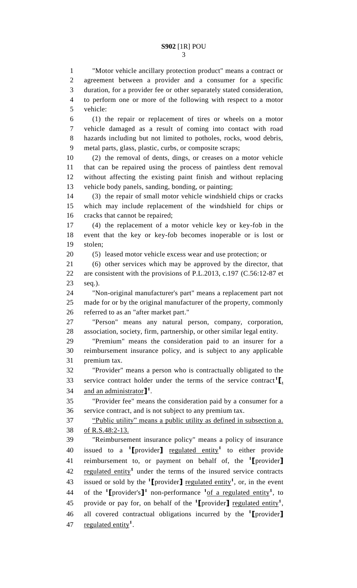"Motor vehicle ancillary protection product" means a contract or agreement between a provider and a consumer for a specific duration, for a provider fee or other separately stated consideration, to perform one or more of the following with respect to a motor vehicle: (1) the repair or replacement of tires or wheels on a motor vehicle damaged as a result of coming into contact with road hazards including but not limited to potholes, rocks, wood debris, metal parts, glass, plastic, curbs, or composite scraps; (2) the removal of dents, dings, or creases on a motor vehicle that can be repaired using the process of paintless dent removal without affecting the existing paint finish and without replacing vehicle body panels, sanding, bonding, or painting; (3) the repair of small motor vehicle windshield chips or cracks which may include replacement of the windshield for chips or cracks that cannot be repaired; (4) the replacement of a motor vehicle key or key-fob in the event that the key or key-fob becomes inoperable or is lost or stolen; (5) leased motor vehicle excess wear and use protection; or (6) other services which may be approved by the director, that are consistent with the provisions of P.L.2013, c.197 (C.56:12-87 et seq.). "Non-original manufacturer's part" means a replacement part not made for or by the original manufacturer of the property, commonly referred to as an "after market part." "Person" means any natural person, company, corporation, association, society, firm, partnership, or other similar legal entity.

 "Premium" means the consideration paid to an insurer for a reimbursement insurance policy, and is subject to any applicable premium tax.

 "Provider" means a person who is contractually obligated to the service contract holder under the terms of the service contract<sup>1</sup> $\mathbf{I}_1$ , 34 and an administrator<sup>1</sup><sup>1</sup>.

 "Provider fee" means the consideration paid by a consumer for a service contract, and is not subject to any premium tax.

 "Public utility" means a public utility as defined in subsection a. of R.S.48:2-13.

 "Reimbursement insurance policy" means a policy of insurance 40 issued to a <sup>1</sup>[provider] <u>regulated entity</u><sup>1</sup> to either provide reimbursement to, or payment on behalf of, the **<sup>1</sup> [**provider**]** 42 regulated entity<sup>1</sup> under the terms of the insured service contracts 43 issued or sold by the  $\text{1}$  **[**provider**]** <u>regulated entity</u><sup>1</sup>, or, in the event 44 of the  $\text{1}$ **[**provider's**]** non-performance  $\text{1}$  of a regulated entity<sup>1</sup>, to 45 provide or pay for, on behalf of the  $\text{1}$  **[**provider] <u>regulated entity</u><sup>1</sup>, all covered contractual obligations incurred by the **<sup>1</sup> [**provider**]** 47 regulated entity<sup>1</sup>.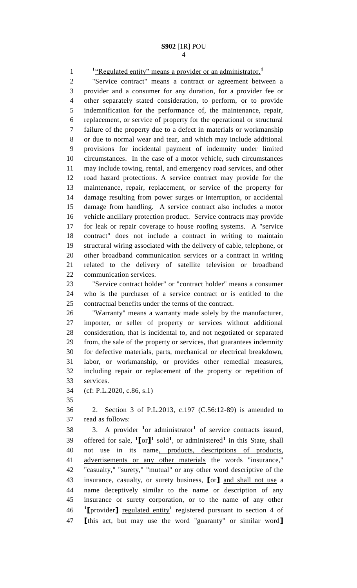<sup>1</sup>"Regulated entity" means a provider or an administrator.<sup>1</sup>

 "Service contract" means a contract or agreement between a provider and a consumer for any duration, for a provider fee or other separately stated consideration, to perform, or to provide indemnification for the performance of, the maintenance, repair, replacement, or service of property for the operational or structural failure of the property due to a defect in materials or workmanship or due to normal wear and tear, and which may include additional provisions for incidental payment of indemnity under limited circumstances. In the case of a motor vehicle, such circumstances may include towing, rental, and emergency road services, and other road hazard protections. A service contract may provide for the maintenance, repair, replacement, or service of the property for damage resulting from power surges or interruption, or accidental damage from handling. A service contract also includes a motor vehicle ancillary protection product. Service contracts may provide for leak or repair coverage to house roofing systems. A "service contract" does not include a contract in writing to maintain structural wiring associated with the delivery of cable, telephone, or other broadband communication services or a contract in writing related to the delivery of satellite television or broadband communication services.

 "Service contract holder" or "contract holder" means a consumer who is the purchaser of a service contract or is entitled to the contractual benefits under the terms of the contract.

 "Warranty" means a warranty made solely by the manufacturer, importer, or seller of property or services without additional consideration, that is incidental to, and not negotiated or separated from, the sale of the property or services, that guarantees indemnity for defective materials, parts, mechanical or electrical breakdown, labor, or workmanship, or provides other remedial measures, including repair or replacement of the property or repetition of services.

- (cf: P.L.2020, c.86, s.1)
- 

 2. Section 3 of P.L.2013, c.197 (C.56:12-89) is amended to read as follows:

38 3. A provider <sup>1</sup><u>or administrator</u><sup>1</sup> of service contracts issued, 39 offered for sale,  $\text{I}[\text{or}]$ <sup>1</sup> sold<sup>1</sup>, or administered<sup>1</sup> in this State, shall not use in its name, products, descriptions of products, advertisements or any other materials the words "insurance," "casualty," "surety," "mutual" or any other word descriptive of the insurance, casualty, or surety business, **[**or**]** and shall not use a name deceptively similar to the name or description of any insurance or surety corporation, or to the name of any other **I** rovider gegulated entity<sup>1</sup> registered pursuant to section 4 of **[**this act, but may use the word "guaranty" or similar word**]**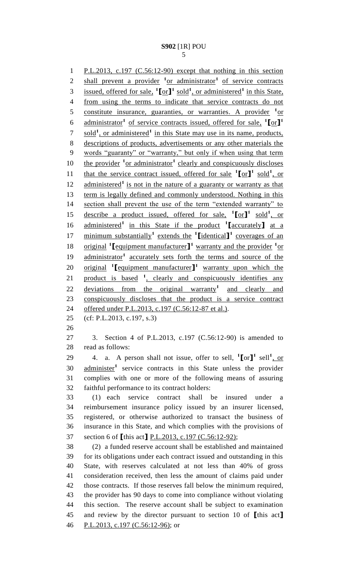P.L.2013, c.197 (C.56:12-90) except that nothing in this section 2 shall prevent a provider <sup>1</sup> or administrator<sup>1</sup> of service contracts 3 issued, offered for sale,  $\text{I}$   $[\text{or}]\text{I}$ <sup>1</sup> sold<sup>1</sup>, or administered<sup>1</sup> in this State, from using the terms to indicate that service contracts do not 5 constitute insurance, guaranties, or warranties. A provider <sup>1</sup> or administrator**<sup>1</sup>** of service contracts issued, offered for sale, **1 [**or**] 1** 7 sold<sup>1</sup>, or administered<sup>1</sup> in this State may use in its name, products, descriptions of products, advertisements or any other materials the words "guaranty" or "warranty," but only if when using that term 10 the provider <sup>1</sup> or administrator<sup>1</sup> clearly and conspicuously discloses 11 that the service contract issued, offered for sale  $\binom{1}{r}$  sold<sup>1</sup>, or 12 administered<sup>1</sup> is not in the nature of a guaranty or warranty as that term is legally defined and commonly understood. Nothing in this section shall prevent the use of the term "extended warranty" to 15 describe a product issued, offered for sale,  $\binom{1}{0}$  or  $\binom{1}{1}$  sold<sup>1</sup>, or administered**<sup>1</sup>** in this State if the product **<sup>1</sup> [**accurately**]** at a minimum substantially**<sup>1</sup>** extends the **<sup>1</sup> [**identical**] 1** coverages of an 18 original <sup>1</sup> [equipment manufacturer]<sup>1</sup> warranty and the provider <sup>1</sup> or 19 administrator<sup>1</sup> accurately sets forth the terms and source of the 20 original **[**equipment manufacturer]<sup>1</sup> warranty upon which the 21 product is based <sup>1</sup>, clearly and conspicuously identifies any 22 deviations from the original warranty<sup>1</sup> and clearly and conspicuously discloses that the product is a service contract 24 offered under P.L.2013, c.197 (C.56:12-87 et al.). (cf: P.L.2013, c.197, s.3) 3. Section 4 of P.L.2013, c.197 (C.56:12-90) is amended to read as follows: 29 4. a. A person shall not issue, offer to sell,  $\textbf{1}$  [or ]<sup>1</sup> sell<sup>1</sup>, or 30 administer<sup>1</sup> service contracts in this State unless the provider complies with one or more of the following means of assuring faithful performance to its contract holders: (1) each service contract shall be insured under a reimbursement insurance policy issued by an insurer licensed, registered, or otherwise authorized to transact the business of insurance in this State, and which complies with the provisions of section 6 of **[**this act**]** P.L.2013, c.197 (C.56:12-92); (2) a funded reserve account shall be established and maintained for its obligations under each contract issued and outstanding in this State, with reserves calculated at not less than 40% of gross consideration received, then less the amount of claims paid under those contracts. If those reserves fall below the minimum required, the provider has 90 days to come into compliance without violating this section. The reserve account shall be subject to examination and review by the director pursuant to section 10 of **[**this act**]**

P.L.2013, c.197 (C.56:12-96); or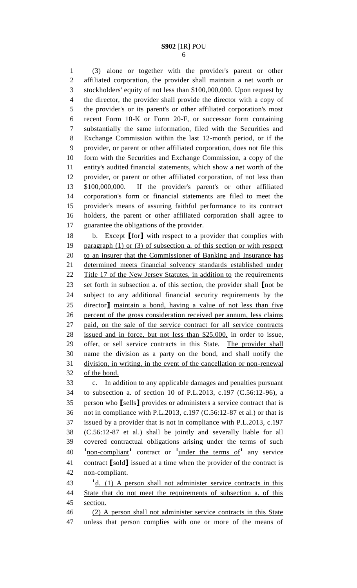(3) alone or together with the provider's parent or other affiliated corporation, the provider shall maintain a net worth or stockholders' equity of not less than \$100,000,000. Upon request by the director, the provider shall provide the director with a copy of the provider's or its parent's or other affiliated corporation's most recent Form 10-K or Form 20-F, or successor form containing substantially the same information, filed with the Securities and Exchange Commission within the last 12-month period, or if the provider, or parent or other affiliated corporation, does not file this form with the Securities and Exchange Commission, a copy of the entity's audited financial statements, which show a net worth of the provider, or parent or other affiliated corporation, of not less than \$100,000,000. If the provider's parent's or other affiliated corporation's form or financial statements are filed to meet the provider's means of assuring faithful performance to its contract holders, the parent or other affiliated corporation shall agree to guarantee the obligations of the provider.

 b. Except **[**for**]** with respect to a provider that complies with 19 paragraph (1) or (3) of subsection a. of this section or with respect 20 to an insurer that the Commissioner of Banking and Insurance has determined meets financial solvency standards established under 22 Title 17 of the New Jersey Statutes, in addition to the requirements set forth in subsection a. of this section, the provider shall **[**not be subject to any additional financial security requirements by the director**]** maintain a bond, having a value of not less than five percent of the gross consideration received per annum, less claims paid, on the sale of the service contract for all service contracts issued and in force, but not less than \$25,000, in order to issue, offer, or sell service contracts in this State. The provider shall name the division as a party on the bond, and shall notify the division, in writing, in the event of the cancellation or non-renewal of the bond.

 c. In addition to any applicable damages and penalties pursuant to subsection a. of section 10 of P.L.2013, c.197 (C.56:12-96), a person who **[**sells**]** provides or administers a service contract that is not in compliance with P.L.2013, c.197 (C.56:12-87 et al.) or that is issued by a provider that is not in compliance with P.L.2013, c.197 (C.56:12-87 et al.) shall be jointly and severally liable for all covered contractual obligations arising under the terms of such non-compliant**<sup>1</sup>** contract or **<sup>1</sup>** under the terms of**<sup>1</sup>** any service contract **[**sold**]** issued at a time when the provider of the contract is non-compliant.

43 <sup>d</sup>d. (1) A person shall not administer service contracts in this State that do not meet the requirements of subsection a. of this section.

 (2) A person shall not administer service contracts in this State unless that person complies with one or more of the means of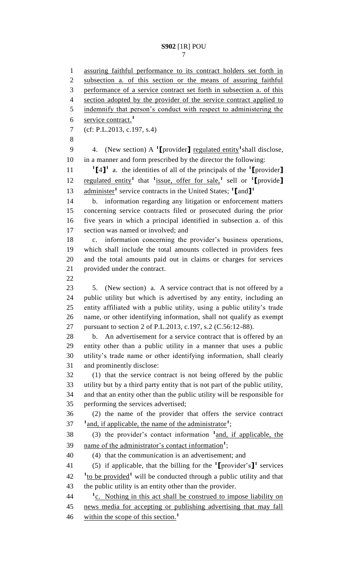assuring faithful performance to its contract holders set forth in subsection a. of this section or the means of assuring faithful performance of a service contract set forth in subsection a. of this 4 section adopted by the provider of the service contract applied to 5 indemnify that person's conduct with respect to administering the service contract.<sup>1</sup> (cf: P.L.2013, c.197, s.4) 9 4. (New section) A <sup>1</sup>[provider] <u>regulated entity</u><sup>1</sup> shall disclose, in a manner and form prescribed by the director the following:  $\begin{bmatrix} 1 \end{bmatrix}^1$  a. the identities of all of the principals of the **1** [provider] *regulated entity***<sup>1</sup> that <sup>1</sup> issue, offer for sale,<sup>1</sup> sell or <sup>1</sup> [provide]** administer**<sup>1</sup>** service contracts in the United States; **<sup>1</sup> [**and**] 1** b. information regarding any litigation or enforcement matters concerning service contracts filed or prosecuted during the prior five years in which a principal identified in subsection a. of this section was named or involved; and c. information concerning the provider's business operations, which shall include the total amounts collected in providers fees and the total amounts paid out in claims or charges for services provided under the contract. 5. (New section) a. A service contract that is not offered by a public utility but which is advertised by any entity, including an entity affiliated with a public utility, using a public utility's trade name, or other identifying information, shall not qualify as exempt pursuant to section 2 of P.L.2013, c.197, s.2 (C.56:12-88). b. An advertisement for a service contract that is offered by an entity other than a public utility in a manner that uses a public utility's trade name or other identifying information, shall clearly and prominently disclose: (1) that the service contract is not being offered by the public utility but by a third party entity that is not part of the public utility, and that an entity other than the public utility will be responsible for performing the services advertised; (2) the name of the provider that offers the service contract <sup>1</sup> and, if applicable, the name of the administrator<sup>1</sup>; 38 (3) the provider's contact information <sup>1</sup> and, if applicable, the 39 mame of the administrator's contact information<sup>1</sup>; (4) that the communication is an advertisement; and 41 (5) if applicable, that the billing for the  $\text{1}$ **[**provider's**]** services <sup>1</sup>to be provided<sup>1</sup> will be conducted through a public utility and that the public utility is an entity other than the provider. <sup>1</sup> <u>c.</u> Nothing in this act shall be construed to impose liability on news media for accepting or publishing advertising that may fall within the scope of this section.<sup>1</sup>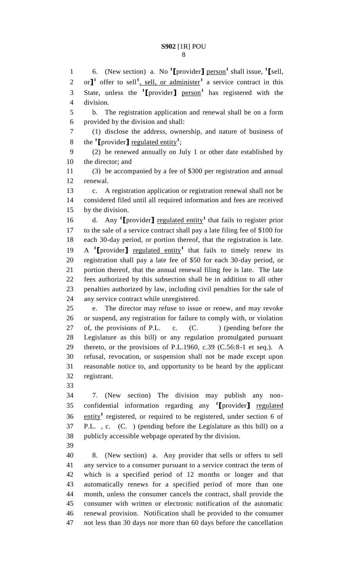1 6. (New section) a. No <sup>1</sup>[provider] <u>person</u><sup>1</sup> shall issue, <sup>1</sup>[sell, 2 or<sup> $\int$ 1</sup> offer to sell<sup>1</sup>, sell, or administer<sup>1</sup> a service contract in this State, unless the **<sup>1</sup> [**provider**]** person**<sup>1</sup>** has registered with the division. b. The registration application and renewal shall be on a form provided by the division and shall: (1) disclose the address, ownership, and nature of business of 8 the  $\text{1}$  **[**provider**]** <u>regulated entity</u><sup>1</sup>; (2) be renewed annually on July 1 or other date established by the director; and (3) be accompanied by a fee of \$300 per registration and annual renewal. c. A registration application or registration renewal shall not be considered filed until all required information and fees are received by the division. 16 d. Any <sup>1</sup>I provider <u>J regulated entity</u><sup>1</sup> that fails to register prior to the sale of a service contract shall pay a late filing fee of \$100 for each 30-day period, or portion thereof, that the registration is late.  $\rightarrow$  **A** <sup>1</sup>**[**provider**]** regulated entity<sup>1</sup> that fails to timely renew its registration shall pay a late fee of \$50 for each 30-day period, or portion thereof, that the annual renewal filing fee is late. The late fees authorized by this subsection shall be in addition to all other penalties authorized by law, including civil penalties for the sale of any service contract while unregistered. e. The director may refuse to issue or renew, and may revoke or suspend, any registration for failure to comply with, or violation 27 of, the provisions of P.L. c. (C. ) (pending before the Legislature as this bill) or any regulation promulgated pursuant thereto, or the provisions of P.L.1960, c.39 (C.56:8-1 et seq.). A refusal, revocation, or suspension shall not be made except upon reasonable notice to, and opportunity to be heard by the applicant registrant. 7. (New section) The division may publish any nonconfidential information regarding any **<sup>1</sup> [**provider**]** regulated entity<sup>1</sup> registered, or required to be registered, under section 6 of P.L. , c. (C. ) (pending before the Legislature as this bill) on a publicly accessible webpage operated by the division. 8. (New section) a. Any provider that sells or offers to sell

 any service to a consumer pursuant to a service contract the term of which is a specified period of 12 months or longer and that automatically renews for a specified period of more than one month, unless the consumer cancels the contract, shall provide the consumer with written or electronic notification of the automatic renewal provision. Notification shall be provided to the consumer not less than 30 days nor more than 60 days before the cancellation